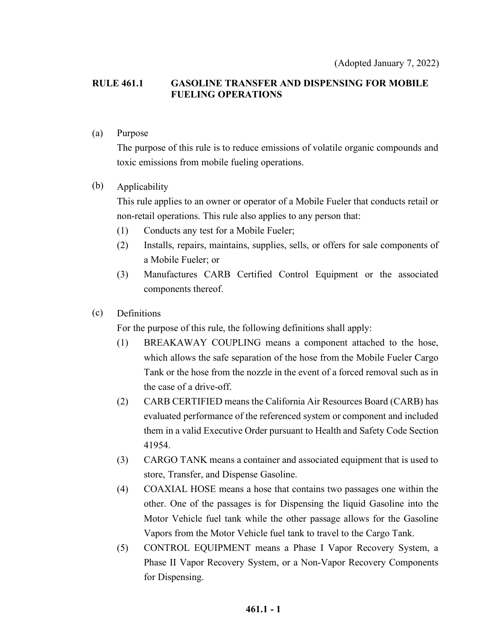#### **RULE 461.1 GASOLINE TRANSFER AND DISPENSING FOR MOBILE FUELING OPERATIONS**

#### (a) Purpose

The purpose of this rule is to reduce emissions of volatile organic compounds and toxic emissions from mobile fueling operations.

#### (b) Applicability

This rule applies to an owner or operator of a Mobile Fueler that conducts retail or non-retail operations. This rule also applies to any person that:

- (1) Conducts any test for a Mobile Fueler;
- (2) Installs, repairs, maintains, supplies, sells, or offers for sale components of a Mobile Fueler; or
- (3) Manufactures CARB Certified Control Equipment or the associated components thereof.

#### (c) Definitions

For the purpose of this rule, the following definitions shall apply:

- (1) BREAKAWAY COUPLING means a component attached to the hose, which allows the safe separation of the hose from the Mobile Fueler Cargo Tank or the hose from the nozzle in the event of a forced removal such as in the case of a drive-off.
- (2) CARB CERTIFIED means the California Air Resources Board (CARB) has evaluated performance of the referenced system or component and included them in a valid Executive Order pursuant to Health and Safety Code Section 41954.
- (3) CARGO TANK means a container and associated equipment that is used to store, Transfer, and Dispense Gasoline.
- (4) COAXIAL HOSE means a hose that contains two passages one within the other. One of the passages is for Dispensing the liquid Gasoline into the Motor Vehicle fuel tank while the other passage allows for the Gasoline Vapors from the Motor Vehicle fuel tank to travel to the Cargo Tank.
- (5) CONTROL EQUIPMENT means a Phase I Vapor Recovery System, a Phase II Vapor Recovery System, or a Non-Vapor Recovery Components for Dispensing.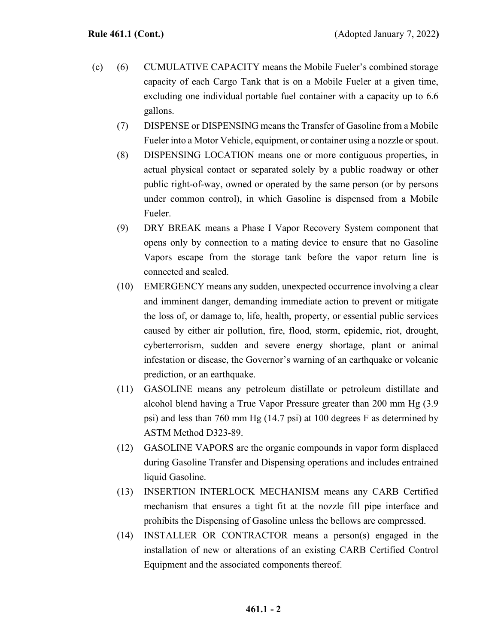- (c) (6) CUMULATIVE CAPACITY means the Mobile Fueler's combined storage capacity of each Cargo Tank that is on a Mobile Fueler at a given time, excluding one individual portable fuel container with a capacity up to 6.6 gallons.
	- (7) DISPENSE or DISPENSING means the Transfer of Gasoline from a Mobile Fueler into a Motor Vehicle, equipment, or container using a nozzle or spout.
	- (8) DISPENSING LOCATION means one or more contiguous properties, in actual physical contact or separated solely by a public roadway or other public right-of-way, owned or operated by the same person (or by persons under common control), in which Gasoline is dispensed from a Mobile Fueler.
	- (9) DRY BREAK means a Phase I Vapor Recovery System component that opens only by connection to a mating device to ensure that no Gasoline Vapors escape from the storage tank before the vapor return line is connected and sealed.
	- (10) EMERGENCY means any sudden, unexpected occurrence involving a clear and imminent danger, demanding immediate action to prevent or mitigate the loss of, or damage to, life, health, property, or essential public services caused by either air pollution, fire, flood, storm, epidemic, riot, drought, cyberterrorism, sudden and severe energy shortage, plant or animal infestation or disease, the Governor's warning of an earthquake or volcanic prediction, or an earthquake.
	- (11) GASOLINE means any petroleum distillate or petroleum distillate and alcohol blend having a True Vapor Pressure greater than 200 mm Hg (3.9 psi) and less than 760 mm Hg (14.7 psi) at 100 degrees F as determined by ASTM Method D323-89.
	- (12) GASOLINE VAPORS are the organic compounds in vapor form displaced during Gasoline Transfer and Dispensing operations and includes entrained liquid Gasoline.
	- (13) INSERTION INTERLOCK MECHANISM means any CARB Certified mechanism that ensures a tight fit at the nozzle fill pipe interface and prohibits the Dispensing of Gasoline unless the bellows are compressed.
	- (14) INSTALLER OR CONTRACTOR means a person(s) engaged in the installation of new or alterations of an existing CARB Certified Control Equipment and the associated components thereof.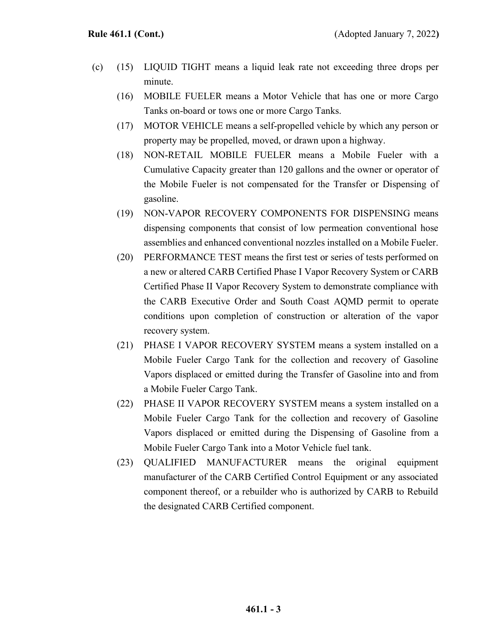- (c) (15) LIQUID TIGHT means a liquid leak rate not exceeding three drops per minute.
	- (16) MOBILE FUELER means a Motor Vehicle that has one or more Cargo Tanks on-board or tows one or more Cargo Tanks.
	- (17) MOTOR VEHICLE means a self-propelled vehicle by which any person or property may be propelled, moved, or drawn upon a highway.
	- (18) NON-RETAIL MOBILE FUELER means a Mobile Fueler with a Cumulative Capacity greater than 120 gallons and the owner or operator of the Mobile Fueler is not compensated for the Transfer or Dispensing of gasoline.
	- (19) NON-VAPOR RECOVERY COMPONENTS FOR DISPENSING means dispensing components that consist of low permeation conventional hose assemblies and enhanced conventional nozzles installed on a Mobile Fueler.
	- (20) PERFORMANCE TEST means the first test or series of tests performed on a new or altered CARB Certified Phase I Vapor Recovery System or CARB Certified Phase II Vapor Recovery System to demonstrate compliance with the CARB Executive Order and South Coast AQMD permit to operate conditions upon completion of construction or alteration of the vapor recovery system.
	- (21) PHASE I VAPOR RECOVERY SYSTEM means a system installed on a Mobile Fueler Cargo Tank for the collection and recovery of Gasoline Vapors displaced or emitted during the Transfer of Gasoline into and from a Mobile Fueler Cargo Tank.
	- (22) PHASE II VAPOR RECOVERY SYSTEM means a system installed on a Mobile Fueler Cargo Tank for the collection and recovery of Gasoline Vapors displaced or emitted during the Dispensing of Gasoline from a Mobile Fueler Cargo Tank into a Motor Vehicle fuel tank.
	- (23) QUALIFIED MANUFACTURER means the original equipment manufacturer of the CARB Certified Control Equipment or any associated component thereof, or a rebuilder who is authorized by CARB to Rebuild the designated CARB Certified component.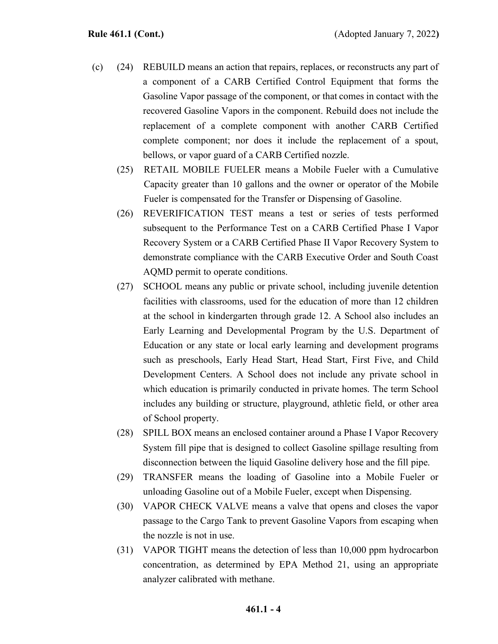- (c) (24) REBUILD means an action that repairs, replaces, or reconstructs any part of a component of a CARB Certified Control Equipment that forms the Gasoline Vapor passage of the component, or that comes in contact with the recovered Gasoline Vapors in the component. Rebuild does not include the replacement of a complete component with another CARB Certified complete component; nor does it include the replacement of a spout, bellows, or vapor guard of a CARB Certified nozzle.
	- (25) RETAIL MOBILE FUELER means a Mobile Fueler with a Cumulative Capacity greater than 10 gallons and the owner or operator of the Mobile Fueler is compensated for the Transfer or Dispensing of Gasoline.
	- (26) REVERIFICATION TEST means a test or series of tests performed subsequent to the Performance Test on a CARB Certified Phase I Vapor Recovery System or a CARB Certified Phase II Vapor Recovery System to demonstrate compliance with the CARB Executive Order and South Coast AQMD permit to operate conditions.
	- (27) SCHOOL means any public or private school, including juvenile detention facilities with classrooms, used for the education of more than 12 children at the school in kindergarten through grade 12. A School also includes an Early Learning and Developmental Program by the U.S. Department of Education or any state or local early learning and development programs such as preschools, Early Head Start, Head Start, First Five, and Child Development Centers. A School does not include any private school in which education is primarily conducted in private homes. The term School includes any building or structure, playground, athletic field, or other area of School property.
	- (28) SPILL BOX means an enclosed container around a Phase I Vapor Recovery System fill pipe that is designed to collect Gasoline spillage resulting from disconnection between the liquid Gasoline delivery hose and the fill pipe.
	- (29) TRANSFER means the loading of Gasoline into a Mobile Fueler or unloading Gasoline out of a Mobile Fueler, except when Dispensing.
	- (30) VAPOR CHECK VALVE means a valve that opens and closes the vapor passage to the Cargo Tank to prevent Gasoline Vapors from escaping when the nozzle is not in use.
	- (31) VAPOR TIGHT means the detection of less than 10,000 ppm hydrocarbon concentration, as determined by EPA Method 21, using an appropriate analyzer calibrated with methane.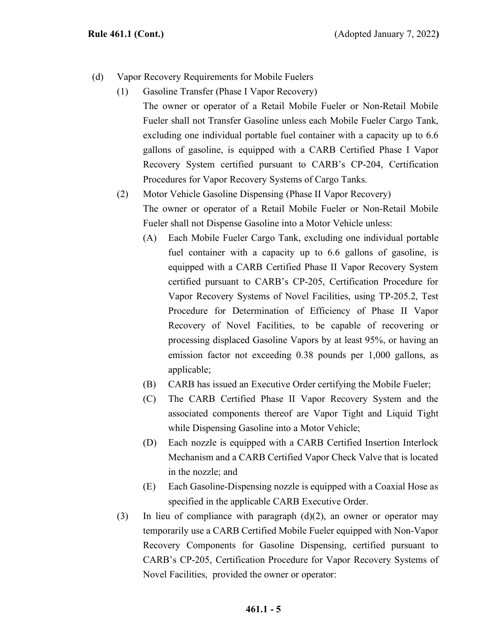- (d) Vapor Recovery Requirements for Mobile Fuelers
	- (1) Gasoline Transfer (Phase I Vapor Recovery) The owner or operator of a Retail Mobile Fueler or Non-Retail Mobile Fueler shall not Transfer Gasoline unless each Mobile Fueler Cargo Tank, excluding one individual portable fuel container with a capacity up to 6.6 gallons of gasoline, is equipped with a CARB Certified Phase I Vapor Recovery System certified pursuant to CARB's CP-204, Certification Procedures for Vapor Recovery Systems of Cargo Tanks.
	- (2) Motor Vehicle Gasoline Dispensing (Phase II Vapor Recovery) The owner or operator of a Retail Mobile Fueler or Non-Retail Mobile Fueler shall not Dispense Gasoline into a Motor Vehicle unless:
		- (A) Each Mobile Fueler Cargo Tank, excluding one individual portable fuel container with a capacity up to 6.6 gallons of gasoline, is equipped with a CARB Certified Phase II Vapor Recovery System certified pursuant to CARB's CP-205, [Certification Procedure for](https://www.arb.ca.gov/testmeth/vol2/cp-205.pdf)  [Vapor Recovery Systems of Novel Facilities,](https://www.arb.ca.gov/testmeth/vol2/cp-205.pdf) using TP-205.2, Test Procedure for Determination of Efficiency of Phase II Vapor Recovery of Novel Facilities, to be capable of recovering or processing displaced Gasoline Vapors by at least 95%, or having an emission factor not exceeding 0.38 pounds per 1,000 gallons, as applicable;
		- (B) CARB has issued an Executive Order certifying the Mobile Fueler;
		- (C) The CARB Certified Phase II Vapor Recovery System and the associated components thereof are Vapor Tight and Liquid Tight while Dispensing Gasoline into a Motor Vehicle;
		- (D) Each nozzle is equipped with a CARB Certified Insertion Interlock Mechanism and a CARB Certified Vapor Check Valve that is located in the nozzle; and
		- (E) Each Gasoline-Dispensing nozzle is equipped with a Coaxial Hose as specified in the applicable CARB Executive Order.
	- (3) In lieu of compliance with paragraph  $(d)(2)$ , an owner or operator may temporarily use a CARB Certified Mobile Fueler equipped with Non-Vapor Recovery Components for Gasoline Dispensing, certified pursuant to CARB's CP-205, [Certification Procedure for Vapor Recovery Systems of](https://www.arb.ca.gov/testmeth/vol2/cp-205.pdf)  [Novel Facilities,](https://www.arb.ca.gov/testmeth/vol2/cp-205.pdf) provided the owner or operator: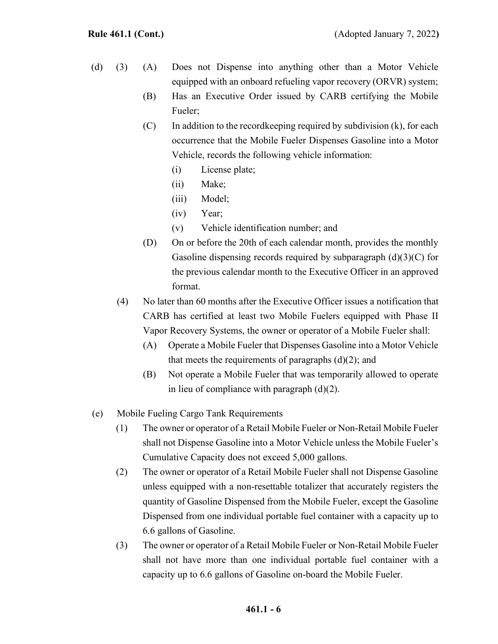- (d) (3) (A) Does not Dispense into anything other than a Motor Vehicle equipped with an onboard refueling vapor recovery (ORVR) system;
	- (B) Has an Executive Order issued by CARB certifying the Mobile Fueler;
	- $(C)$  In addition to the record keeping required by subdivision  $(k)$ , for each occurrence that the Mobile Fueler Dispenses Gasoline into a Motor Vehicle, records the following vehicle information:
		- (i) License plate;
		- (ii) Make;
		- (iii) Model;
		- (iv) Year;
		- (v) Vehicle identification number; and
	- (D) On or before the 20th of each calendar month, provides the monthly Gasoline dispensing records required by subparagraph  $(d)(3)(C)$  for the previous calendar month to the Executive Officer in an approved format.
	- (4) No later than 60 months after the Executive Officer issues a notification that CARB has certified at least two Mobile Fuelers equipped with Phase II Vapor Recovery Systems, the owner or operator of a Mobile Fueler shall:
		- (A) Operate a Mobile Fueler that Dispenses Gasoline into a Motor Vehicle that meets the requirements of paragraphs  $(d)(2)$ ; and
		- (B) Not operate a Mobile Fueler that was temporarily allowed to operate in lieu of compliance with paragraph (d)(2).
- (e) Mobile Fueling Cargo Tank Requirements
	- (1) The owner or operator of a Retail Mobile Fueler or Non-Retail Mobile Fueler shall not Dispense Gasoline into a Motor Vehicle unless the Mobile Fueler's Cumulative Capacity does not exceed 5,000 gallons.
	- (2) The owner or operator of a Retail Mobile Fueler shall not Dispense Gasoline unless equipped with a non-resettable totalizer that accurately registers the quantity of Gasoline Dispensed from the Mobile Fueler, except the Gasoline Dispensed from one individual portable fuel container with a capacity up to 6.6 gallons of Gasoline.
	- (3) The owner or operator of a Retail Mobile Fueler or Non-Retail Mobile Fueler shall not have more than one individual portable fuel container with a capacity up to 6.6 gallons of Gasoline on-board the Mobile Fueler.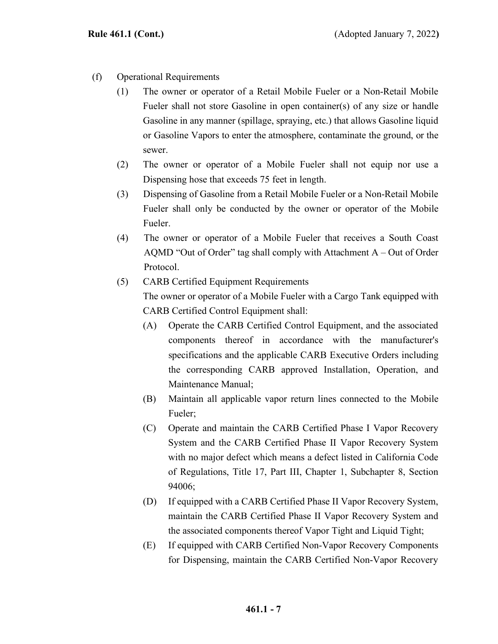- (f) Operational Requirements
	- (1) The owner or operator of a Retail Mobile Fueler or a Non-Retail Mobile Fueler shall not store Gasoline in open container(s) of any size or handle Gasoline in any manner (spillage, spraying, etc.) that allows Gasoline liquid or Gasoline Vapors to enter the atmosphere, contaminate the ground, or the sewer.
	- (2) The owner or operator of a Mobile Fueler shall not equip nor use a Dispensing hose that exceeds 75 feet in length.
	- (3) Dispensing of Gasoline from a Retail Mobile Fueler or a Non-Retail Mobile Fueler shall only be conducted by the owner or operator of the Mobile Fueler.
	- (4) The owner or operator of a Mobile Fueler that receives a South Coast AQMD "Out of Order" tag shall comply with Attachment  $A - Out$  of Order Protocol.
	- (5) CARB Certified Equipment Requirements The owner or operator of a Mobile Fueler with a Cargo Tank equipped with CARB Certified Control Equipment shall:
		- (A) Operate the CARB Certified Control Equipment, and the associated components thereof in accordance with the manufacturer's specifications and the applicable CARB Executive Orders including the corresponding CARB approved Installation, Operation, and Maintenance Manual;
		- (B) Maintain all applicable vapor return lines connected to the Mobile Fueler;
		- (C) Operate and maintain the CARB Certified Phase I Vapor Recovery System and the CARB Certified Phase II Vapor Recovery System with no major defect which means a defect listed in California Code of Regulations, Title 17, Part III, Chapter 1, Subchapter 8, Section 94006;
		- (D) If equipped with a CARB Certified Phase II Vapor Recovery System, maintain the CARB Certified Phase II Vapor Recovery System and the associated components thereof Vapor Tight and Liquid Tight;
		- (E) If equipped with CARB Certified Non-Vapor Recovery Components for Dispensing, maintain the CARB Certified Non-Vapor Recovery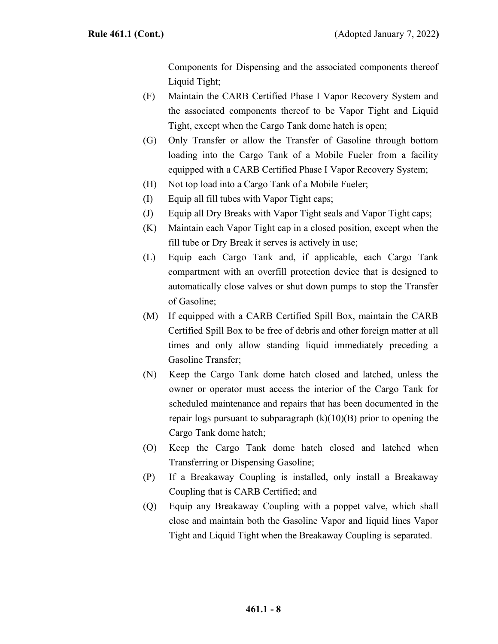Components for Dispensing and the associated components thereof Liquid Tight;

- (F) Maintain the CARB Certified Phase I Vapor Recovery System and the associated components thereof to be Vapor Tight and Liquid Tight, except when the Cargo Tank dome hatch is open;
- (G) Only Transfer or allow the Transfer of Gasoline through bottom loading into the Cargo Tank of a Mobile Fueler from a facility equipped with a CARB Certified Phase I Vapor Recovery System;
- (H) Not top load into a Cargo Tank of a Mobile Fueler;
- (I) Equip all fill tubes with Vapor Tight caps;
- (J) Equip all Dry Breaks with Vapor Tight seals and Vapor Tight caps;
- (K) Maintain each Vapor Tight cap in a closed position, except when the fill tube or Dry Break it serves is actively in use;
- (L) Equip each Cargo Tank and, if applicable, each Cargo Tank compartment with an overfill protection device that is designed to automatically close valves or shut down pumps to stop the Transfer of Gasoline;
- (M) If equipped with a CARB Certified Spill Box, maintain the CARB Certified Spill Box to be free of debris and other foreign matter at all times and only allow standing liquid immediately preceding a Gasoline Transfer;
- (N) Keep the Cargo Tank dome hatch closed and latched, unless the owner or operator must access the interior of the Cargo Tank for scheduled maintenance and repairs that has been documented in the repair logs pursuant to subparagraph  $(k)(10)(B)$  prior to opening the Cargo Tank dome hatch;
- (O) Keep the Cargo Tank dome hatch closed and latched when Transferring or Dispensing Gasoline;
- (P) If a Breakaway Coupling is installed, only install a Breakaway Coupling that is CARB Certified; and
- (Q) Equip any Breakaway Coupling with a poppet valve, which shall close and maintain both the Gasoline Vapor and liquid lines Vapor Tight and Liquid Tight when the Breakaway Coupling is separated.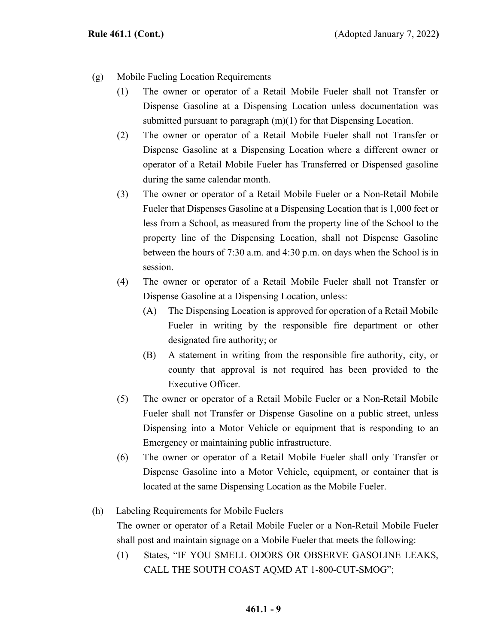- (g) Mobile Fueling Location Requirements
	- (1) The owner or operator of a Retail Mobile Fueler shall not Transfer or Dispense Gasoline at a Dispensing Location unless documentation was submitted pursuant to paragraph  $(m)(1)$  for that Dispensing Location.
	- (2) The owner or operator of a Retail Mobile Fueler shall not Transfer or Dispense Gasoline at a Dispensing Location where a different owner or operator of a Retail Mobile Fueler has Transferred or Dispensed gasoline during the same calendar month.
	- (3) The owner or operator of a Retail Mobile Fueler or a Non-Retail Mobile Fueler that Dispenses Gasoline at a Dispensing Location that is 1,000 feet or less from a School, as measured from the property line of the School to the property line of the Dispensing Location, shall not Dispense Gasoline between the hours of 7:30 a.m. and 4:30 p.m. on days when the School is in session.
	- (4) The owner or operator of a Retail Mobile Fueler shall not Transfer or Dispense Gasoline at a Dispensing Location, unless:
		- (A) The Dispensing Location is approved for operation of a Retail Mobile Fueler in writing by the responsible fire department or other designated fire authority; or
		- (B) A statement in writing from the responsible fire authority, city, or county that approval is not required has been provided to the Executive Officer.
	- (5) The owner or operator of a Retail Mobile Fueler or a Non-Retail Mobile Fueler shall not Transfer or Dispense Gasoline on a public street, unless Dispensing into a Motor Vehicle or equipment that is responding to an Emergency or maintaining public infrastructure.
	- (6) The owner or operator of a Retail Mobile Fueler shall only Transfer or Dispense Gasoline into a Motor Vehicle, equipment, or container that is located at the same Dispensing Location as the Mobile Fueler.
- (h) Labeling Requirements for Mobile Fuelers

The owner or operator of a Retail Mobile Fueler or a Non-Retail Mobile Fueler shall post and maintain signage on a Mobile Fueler that meets the following:

(1) States, "IF YOU SMELL ODORS OR OBSERVE GASOLINE LEAKS, CALL THE SOUTH COAST AQMD AT 1-800-CUT-SMOG";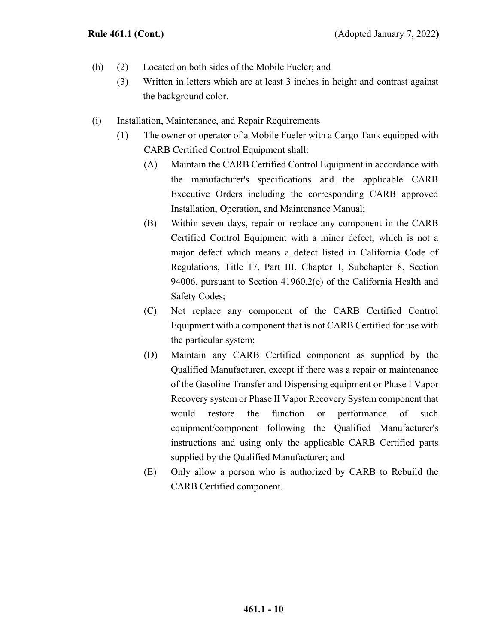- (h) (2) Located on both sides of the Mobile Fueler; and
	- (3) Written in letters which are at least 3 inches in height and contrast against the background color.
- (i) Installation, Maintenance, and Repair Requirements
	- (1) The owner or operator of a Mobile Fueler with a Cargo Tank equipped with CARB Certified Control Equipment shall:
		- (A) Maintain the CARB Certified Control Equipment in accordance with the manufacturer's specifications and the applicable CARB Executive Orders including the corresponding CARB approved Installation, Operation, and Maintenance Manual;
		- (B) Within seven days, repair or replace any component in the CARB Certified Control Equipment with a minor defect, which is not a major defect which means a defect listed in California Code of Regulations, Title 17, Part III, Chapter 1, Subchapter 8, Section 94006, pursuant to Section 41960.2(e) of the California Health and Safety Codes;
		- (C) Not replace any component of the CARB Certified Control Equipment with a component that is not CARB Certified for use with the particular system;
		- (D) Maintain any CARB Certified component as supplied by the Qualified Manufacturer, except if there was a repair or maintenance of the Gasoline Transfer and Dispensing equipment or Phase I Vapor Recovery system or Phase II Vapor Recovery System component that would restore the function or performance of such equipment/component following the Qualified Manufacturer's instructions and using only the applicable CARB Certified parts supplied by the Qualified Manufacturer; and
		- (E) Only allow a person who is authorized by CARB to Rebuild the CARB Certified component.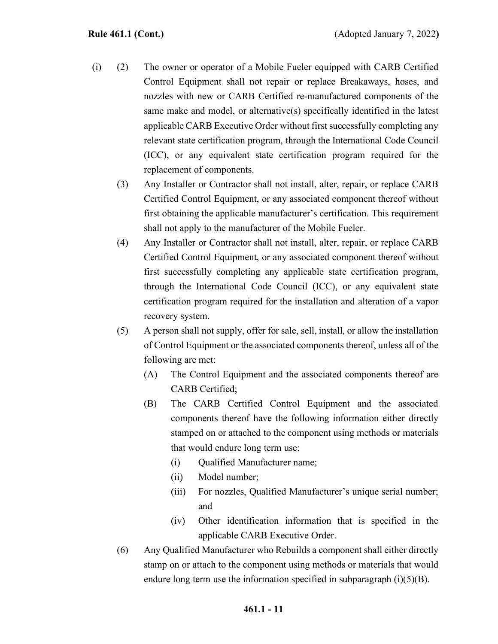- (i) (2) The owner or operator of a Mobile Fueler equipped with CARB Certified Control Equipment shall not repair or replace Breakaways, hoses, and nozzles with new or CARB Certified re-manufactured components of the same make and model, or alternative(s) specifically identified in the latest applicable CARB Executive Order without first successfully completing any relevant state certification program, through the International Code Council (ICC), or any equivalent state certification program required for the replacement of components.
	- (3) Any Installer or Contractor shall not install, alter, repair, or replace CARB Certified Control Equipment, or any associated component thereof without first obtaining the applicable manufacturer's certification. This requirement shall not apply to the manufacturer of the Mobile Fueler.
	- (4) Any Installer or Contractor shall not install, alter, repair, or replace CARB Certified Control Equipment, or any associated component thereof without first successfully completing any applicable state certification program, through the International Code Council (ICC), or any equivalent state certification program required for the installation and alteration of a vapor recovery system.
	- (5) A person shall not supply, offer for sale, sell, install, or allow the installation of Control Equipment or the associated components thereof, unless all of the following are met:
		- (A) The Control Equipment and the associated components thereof are CARB Certified;
		- (B) The CARB Certified Control Equipment and the associated components thereof have the following information either directly stamped on or attached to the component using methods or materials that would endure long term use:
			- (i) Qualified Manufacturer name;
			- (ii) Model number;
			- (iii) For nozzles, Qualified Manufacturer's unique serial number; and
			- (iv) Other identification information that is specified in the applicable CARB Executive Order.
	- (6) Any Qualified Manufacturer who Rebuilds a component shall either directly stamp on or attach to the component using methods or materials that would endure long term use the information specified in subparagraph  $(i)(5)(B)$ .

#### **461.1 - 11**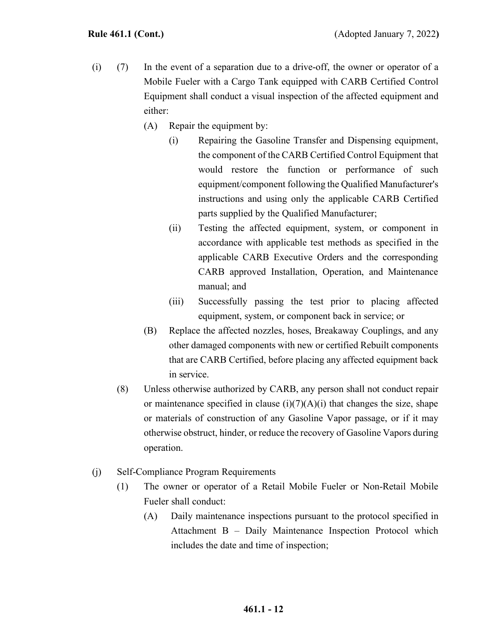- (i) (7) In the event of a separation due to a drive-off, the owner or operator of a Mobile Fueler with a Cargo Tank equipped with CARB Certified Control Equipment shall conduct a visual inspection of the affected equipment and either:
	- (A) Repair the equipment by:
		- (i) Repairing the Gasoline Transfer and Dispensing equipment, the component of the CARB Certified Control Equipment that would restore the function or performance of such equipment/component following the Qualified Manufacturer's instructions and using only the applicable CARB Certified parts supplied by the Qualified Manufacturer;
		- (ii) Testing the affected equipment, system, or component in accordance with applicable test methods as specified in the applicable CARB Executive Orders and the corresponding CARB approved Installation, Operation, and Maintenance manual; and
		- (iii) Successfully passing the test prior to placing affected equipment, system, or component back in service; or
	- (B) Replace the affected nozzles, hoses, Breakaway Couplings, and any other damaged components with new or certified Rebuilt components that are CARB Certified, before placing any affected equipment back in service.
	- (8) Unless otherwise authorized by CARB, any person shall not conduct repair or maintenance specified in clause (i)(7)(A)(i) that changes the size, shape or materials of construction of any Gasoline Vapor passage, or if it may otherwise obstruct, hinder, or reduce the recovery of Gasoline Vapors during operation.
- (j) Self-Compliance Program Requirements
	- (1) The owner or operator of a Retail Mobile Fueler or Non-Retail Mobile Fueler shall conduct:
		- (A) Daily maintenance inspections pursuant to the protocol specified in Attachment B – Daily Maintenance Inspection Protocol which includes the date and time of inspection;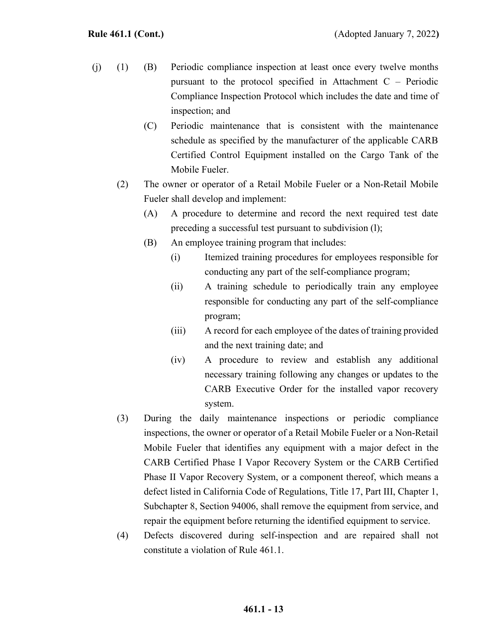- (j) (1) (B) Periodic compliance inspection at least once every twelve months pursuant to the protocol specified in Attachment C – Periodic Compliance Inspection Protocol which includes the date and time of inspection; and
	- (C) Periodic maintenance that is consistent with the maintenance schedule as specified by the manufacturer of the applicable CARB Certified Control Equipment installed on the Cargo Tank of the Mobile Fueler.
	- (2) The owner or operator of a Retail Mobile Fueler or a Non-Retail Mobile Fueler shall develop and implement:
		- (A) A procedure to determine and record the next required test date preceding a successful test pursuant to subdivision (l);
		- (B) An employee training program that includes:
			- (i) Itemized training procedures for employees responsible for conducting any part of the self-compliance program;
			- (ii) A training schedule to periodically train any employee responsible for conducting any part of the self-compliance program;
			- (iii) A record for each employee of the dates of training provided and the next training date; and
			- (iv) A procedure to review and establish any additional necessary training following any changes or updates to the CARB Executive Order for the installed vapor recovery system.
	- (3) During the daily maintenance inspections or periodic compliance inspections, the owner or operator of a Retail Mobile Fueler or a Non-Retail Mobile Fueler that identifies any equipment with a major defect in the CARB Certified Phase I Vapor Recovery System or the CARB Certified Phase II Vapor Recovery System, or a component thereof, which means a defect listed in California Code of Regulations, Title 17, Part III, Chapter 1, Subchapter 8, Section 94006, shall remove the equipment from service, and repair the equipment before returning the identified equipment to service.
	- (4) Defects discovered during self-inspection and are repaired shall not constitute a violation of Rule 461.1.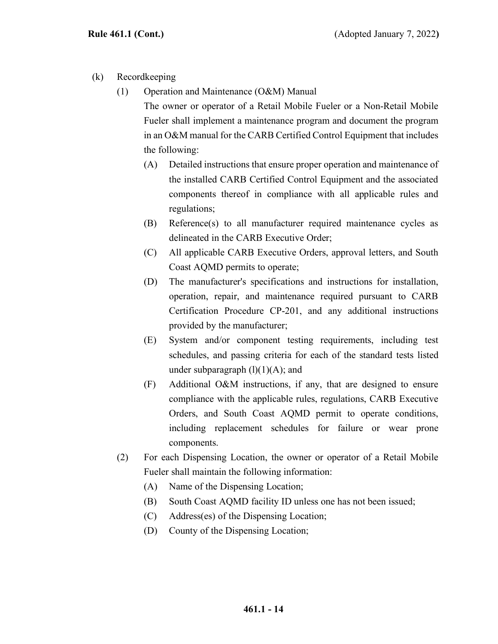- (k) Recordkeeping
	- (1) Operation and Maintenance (O&M) Manual The owner or operator of a Retail Mobile Fueler or a Non-Retail Mobile Fueler shall implement a maintenance program and document the program in an O&M manual for the CARB Certified Control Equipment that includes the following:
		- (A) Detailed instructions that ensure proper operation and maintenance of the installed CARB Certified Control Equipment and the associated components thereof in compliance with all applicable rules and regulations;
		- (B) Reference(s) to all manufacturer required maintenance cycles as delineated in the CARB Executive Order;
		- (C) All applicable CARB Executive Orders, approval letters, and South Coast AQMD permits to operate;
		- (D) The manufacturer's specifications and instructions for installation, operation, repair, and maintenance required pursuant to CARB Certification Procedure CP-201, and any additional instructions provided by the manufacturer;
		- (E) System and/or component testing requirements, including test schedules, and passing criteria for each of the standard tests listed under subparagraph  $(l)(1)(A)$ ; and
		- (F) Additional O&M instructions, if any, that are designed to ensure compliance with the applicable rules, regulations, CARB Executive Orders, and South Coast AQMD permit to operate conditions, including replacement schedules for failure or wear prone components.
	- (2) For each Dispensing Location, the owner or operator of a Retail Mobile Fueler shall maintain the following information:
		- (A) Name of the Dispensing Location;
		- (B) South Coast AQMD facility ID unless one has not been issued;
		- (C) Address(es) of the Dispensing Location;
		- (D) County of the Dispensing Location;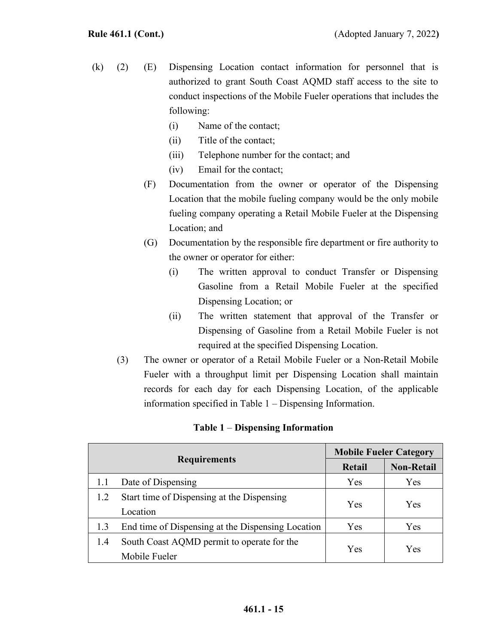- (k) (2) (E) Dispensing Location contact information for personnel that is authorized to grant South Coast AQMD staff access to the site to conduct inspections of the Mobile Fueler operations that includes the following:
	- (i) Name of the contact;
	- (ii) Title of the contact;
	- (iii) Telephone number for the contact; and
	- (iv) Email for the contact;
	- (F) Documentation from the owner or operator of the Dispensing Location that the mobile fueling company would be the only mobile fueling company operating a Retail Mobile Fueler at the Dispensing Location; and
	- (G) Documentation by the responsible fire department or fire authority to the owner or operator for either:
		- (i) The written approval to conduct Transfer or Dispensing Gasoline from a Retail Mobile Fueler at the specified Dispensing Location; or
		- (ii) The written statement that approval of the Transfer or Dispensing of Gasoline from a Retail Mobile Fueler is not required at the specified Dispensing Location.
	- (3) The owner or operator of a Retail Mobile Fueler or a Non-Retail Mobile Fueler with a throughput limit per Dispensing Location shall maintain records for each day for each Dispensing Location, of the applicable information specified in Table 1 – Dispensing Information.

| <b>Requirements</b> |                                                   | <b>Mobile Fueler Category</b> |                   |
|---------------------|---------------------------------------------------|-------------------------------|-------------------|
|                     |                                                   | Retail                        | <b>Non-Retail</b> |
| 1.1                 | Date of Dispensing                                | Yes                           | Yes               |
| 1.2                 | Start time of Dispensing at the Dispensing        | Yes                           | Yes               |
|                     | Location                                          |                               |                   |
| 1.3                 | End time of Dispensing at the Dispensing Location | Yes                           | Yes               |
| 1.4                 | South Coast AQMD permit to operate for the        | Yes                           | Yes               |
|                     | Mobile Fueler                                     |                               |                   |

#### **Table 1** – **Dispensing Information**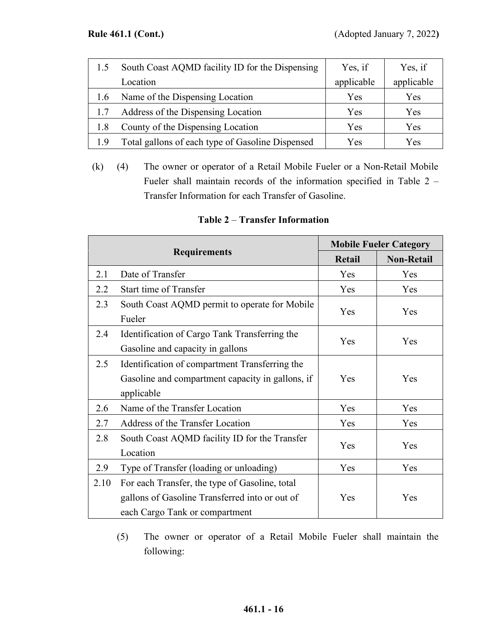| 1.5 | South Coast AQMD facility ID for the Dispensing  | Yes, if    | Yes, if    |
|-----|--------------------------------------------------|------------|------------|
|     | Location                                         | applicable | applicable |
| 1.6 | Name of the Dispensing Location                  | Yes        | Yes        |
| 1.7 | Address of the Dispensing Location               | Yes        | Yes        |
| 1.8 | County of the Dispensing Location                | Yes        | Yes        |
|     | Total gallons of each type of Gasoline Dispensed | Yes        | Yes        |

(k) (4) The owner or operator of a Retail Mobile Fueler or a Non-Retail Mobile Fueler shall maintain records of the information specified in Table 2 – Transfer Information for each Transfer of Gasoline.

| <b>Requirements</b> |                                                  | <b>Mobile Fueler Category</b> |                   |
|---------------------|--------------------------------------------------|-------------------------------|-------------------|
|                     |                                                  | <b>Retail</b>                 | <b>Non-Retail</b> |
| 2.1                 | Date of Transfer                                 | Yes                           | Yes               |
| 2.2                 | Start time of Transfer                           | Yes                           | Yes               |
| 2.3                 | South Coast AQMD permit to operate for Mobile    | Yes                           | Yes               |
|                     | Fueler                                           |                               |                   |
| 2.4                 | Identification of Cargo Tank Transferring the    | Yes                           | Yes               |
|                     | Gasoline and capacity in gallons                 |                               |                   |
| 2.5                 | Identification of compartment Transferring the   |                               |                   |
|                     | Gasoline and compartment capacity in gallons, if | Yes                           | Yes               |
|                     | applicable                                       |                               |                   |
| 2.6                 | Name of the Transfer Location                    | Yes                           | Yes               |
| 2.7                 | Address of the Transfer Location                 | Yes                           | Yes               |
| 2.8                 | South Coast AQMD facility ID for the Transfer    | Yes                           | Yes               |
|                     | Location                                         |                               |                   |
| 2.9                 | Type of Transfer (loading or unloading)          | Yes                           | Yes               |
| 2.10                | For each Transfer, the type of Gasoline, total   |                               |                   |
|                     | gallons of Gasoline Transferred into or out of   | Yes                           | Yes               |
|                     | each Cargo Tank or compartment                   |                               |                   |

# **Table 2** – **Transfer Information**

(5) The owner or operator of a Retail Mobile Fueler shall maintain the following: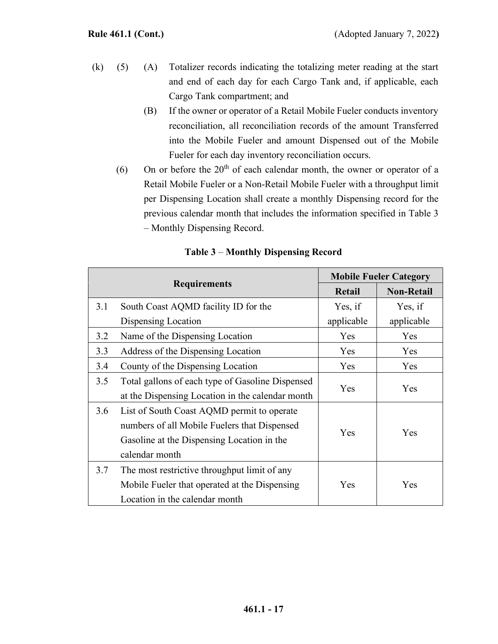- (k) (5) (A) Totalizer records indicating the totalizing meter reading at the start and end of each day for each Cargo Tank and, if applicable, each Cargo Tank compartment; and
	- (B) If the owner or operator of a Retail Mobile Fueler conducts inventory reconciliation, all reconciliation records of the amount Transferred into the Mobile Fueler and amount Dispensed out of the Mobile Fueler for each day inventory reconciliation occurs.
	- (6) On or before the  $20<sup>th</sup>$  of each calendar month, the owner or operator of a Retail Mobile Fueler or a Non-Retail Mobile Fueler with a throughput limit per Dispensing Location shall create a monthly Dispensing record for the previous calendar month that includes the information specified in Table 3 – Monthly Dispensing Record.

| <b>Requirements</b> |                                                  | <b>Mobile Fueler Category</b> |                   |
|---------------------|--------------------------------------------------|-------------------------------|-------------------|
|                     |                                                  | <b>Retail</b>                 | <b>Non-Retail</b> |
| 3.1                 | South Coast AQMD facility ID for the             | Yes, if                       | Yes, if           |
|                     | Dispensing Location                              | applicable                    | applicable        |
| 3.2                 | Name of the Dispensing Location                  | Yes                           | Yes               |
| 3.3                 | Address of the Dispensing Location               | Yes                           | Yes               |
| 3.4                 | County of the Dispensing Location                | Yes                           | Yes               |
| 3.5                 | Total gallons of each type of Gasoline Dispensed | Yes                           | Yes               |
|                     | at the Dispensing Location in the calendar month |                               |                   |
| 3.6                 | List of South Coast AQMD permit to operate       | Yes                           | Yes               |
|                     | numbers of all Mobile Fuelers that Dispensed     |                               |                   |
|                     | Gasoline at the Dispensing Location in the       |                               |                   |
|                     | calendar month                                   |                               |                   |
| 3.7                 | The most restrictive throughput limit of any     |                               |                   |
|                     | Mobile Fueler that operated at the Dispensing    | Yes                           | Yes               |
|                     | Location in the calendar month                   |                               |                   |

## **Table 3** – **Monthly Dispensing Record**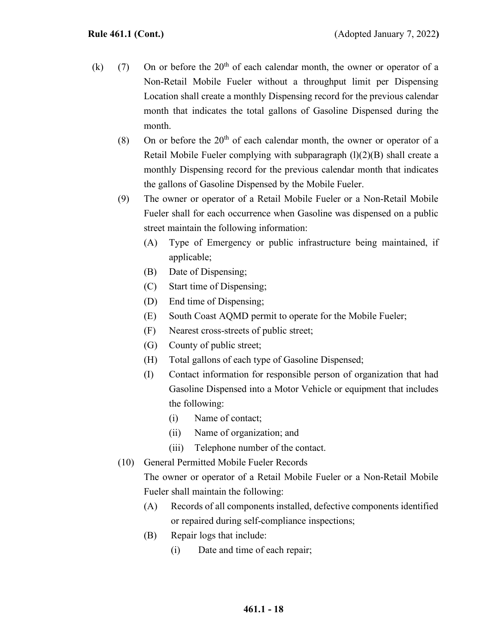- (k) (7) On or before the  $20<sup>th</sup>$  of each calendar month, the owner or operator of a Non-Retail Mobile Fueler without a throughput limit per Dispensing Location shall create a monthly Dispensing record for the previous calendar month that indicates the total gallons of Gasoline Dispensed during the month.
	- (8) On or before the  $20<sup>th</sup>$  of each calendar month, the owner or operator of a Retail Mobile Fueler complying with subparagraph  $(l)(2)(B)$  shall create a monthly Dispensing record for the previous calendar month that indicates the gallons of Gasoline Dispensed by the Mobile Fueler.
	- (9) The owner or operator of a Retail Mobile Fueler or a Non-Retail Mobile Fueler shall for each occurrence when Gasoline was dispensed on a public street maintain the following information:
		- (A) Type of Emergency or public infrastructure being maintained, if applicable;
		- (B) Date of Dispensing;
		- (C) Start time of Dispensing;
		- (D) End time of Dispensing;
		- (E) South Coast AQMD permit to operate for the Mobile Fueler;
		- (F) Nearest cross-streets of public street;
		- (G) County of public street;
		- (H) Total gallons of each type of Gasoline Dispensed;
		- (I) Contact information for responsible person of organization that had Gasoline Dispensed into a Motor Vehicle or equipment that includes the following:
			- (i) Name of contact;
			- (ii) Name of organization; and
			- (iii) Telephone number of the contact.
	- (10) General Permitted Mobile Fueler Records

The owner or operator of a Retail Mobile Fueler or a Non-Retail Mobile Fueler shall maintain the following:

- (A) Records of all components installed, defective components identified or repaired during self-compliance inspections;
- (B) Repair logs that include:
	- (i) Date and time of each repair;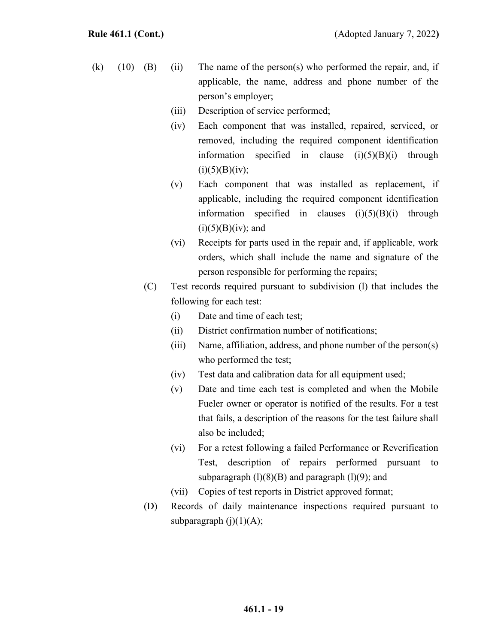- (k)  $(10)$   $(B)$   $(ii)$  The name of the person(s) who performed the repair, and, if applicable, the name, address and phone number of the person's employer;
	- (iii) Description of service performed;
	- (iv) Each component that was installed, repaired, serviced, or removed, including the required component identification information specified in clause  $(i)(5)(B)(i)$  through  $(i)(5)(B)(iv);$
	- (v) Each component that was installed as replacement, if applicable, including the required component identification information specified in clauses  $(i)(5)(B)(i)$  through  $(i)(5)(B)(iv)$ ; and
	- (vi) Receipts for parts used in the repair and, if applicable, work orders, which shall include the name and signature of the person responsible for performing the repairs;
	- (C) Test records required pursuant to subdivision (l) that includes the following for each test:
		- (i) Date and time of each test;
		- (ii) District confirmation number of notifications;
		- (iii) Name, affiliation, address, and phone number of the person(s) who performed the test;
		- (iv) Test data and calibration data for all equipment used;
		- (v) Date and time each test is completed and when the Mobile Fueler owner or operator is notified of the results. For a test that fails, a description of the reasons for the test failure shall also be included;
		- (vi) For a retest following a failed Performance or Reverification Test, description of repairs performed pursuant to subparagraph  $(1)(8)(B)$  and paragraph  $(1)(9)$ ; and
		- (vii) Copies of test reports in District approved format;
	- (D) Records of daily maintenance inspections required pursuant to subparagraph  $(i)(1)(A);$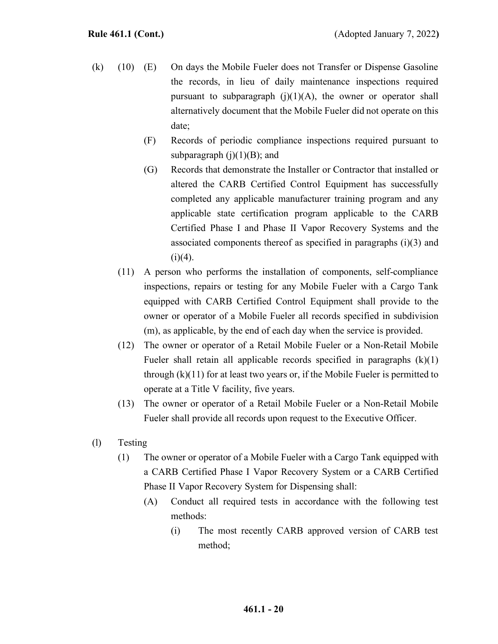- (k) (10) (E) On days the Mobile Fueler does not Transfer or Dispense Gasoline the records, in lieu of daily maintenance inspections required pursuant to subparagraph  $(j)(1)(A)$ , the owner or operator shall alternatively document that the Mobile Fueler did not operate on this date;
	- (F) Records of periodic compliance inspections required pursuant to subparagraph  $(j)(1)(B)$ ; and
	- (G) Records that demonstrate the Installer or Contractor that installed or altered the CARB Certified Control Equipment has successfully completed any applicable manufacturer training program and any applicable state certification program applicable to the CARB Certified Phase I and Phase II Vapor Recovery Systems and the associated components thereof as specified in paragraphs (i)(3) and  $(i)(4)$ .
	- (11) A person who performs the installation of components, self-compliance inspections, repairs or testing for any Mobile Fueler with a Cargo Tank equipped with CARB Certified Control Equipment shall provide to the owner or operator of a Mobile Fueler all records specified in subdivision (m), as applicable, by the end of each day when the service is provided.
	- (12) The owner or operator of a Retail Mobile Fueler or a Non-Retail Mobile Fueler shall retain all applicable records specified in paragraphs (k)(1) through (k)(11) for at least two years or, if the Mobile Fueler is permitted to operate at a Title V facility, five years.
	- (13) The owner or operator of a Retail Mobile Fueler or a Non-Retail Mobile Fueler shall provide all records upon request to the Executive Officer.
- (l) Testing
	- (1) The owner or operator of a Mobile Fueler with a Cargo Tank equipped with a CARB Certified Phase I Vapor Recovery System or a CARB Certified Phase II Vapor Recovery System for Dispensing shall:
		- (A) Conduct all required tests in accordance with the following test methods:
			- (i) The most recently CARB approved version of CARB test method;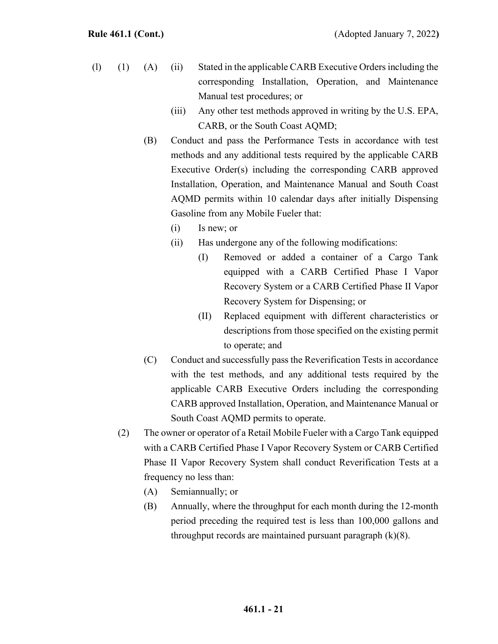- (l) (1) (A) (ii) Stated in the applicable CARB Executive Orders including the corresponding Installation, Operation, and Maintenance Manual test procedures; or
	- (iii) Any other test methods approved in writing by the U.S. EPA, CARB, or the South Coast AQMD;
	- (B) Conduct and pass the Performance Tests in accordance with test methods and any additional tests required by the applicable CARB Executive Order(s) including the corresponding CARB approved Installation, Operation, and Maintenance Manual and South Coast AQMD permits within 10 calendar days after initially Dispensing Gasoline from any Mobile Fueler that:
		- (i) Is new; or
		- (ii) Has undergone any of the following modifications:
			- (I) Removed or added a container of a Cargo Tank equipped with a CARB Certified Phase I Vapor Recovery System or a CARB Certified Phase II Vapor Recovery System for Dispensing; or
			- (II) Replaced equipment with different characteristics or descriptions from those specified on the existing permit to operate; and
	- (C) Conduct and successfully pass the Reverification Tests in accordance with the test methods, and any additional tests required by the applicable CARB Executive Orders including the corresponding CARB approved Installation, Operation, and Maintenance Manual or South Coast AQMD permits to operate.
	- (2) The owner or operator of a Retail Mobile Fueler with a Cargo Tank equipped with a CARB Certified Phase I Vapor Recovery System or CARB Certified Phase II Vapor Recovery System shall conduct Reverification Tests at a frequency no less than:
		- (A) Semiannually; or
		- (B) Annually, where the throughput for each month during the 12-month period preceding the required test is less than 100,000 gallons and throughput records are maintained pursuant paragraph  $(k)(8)$ .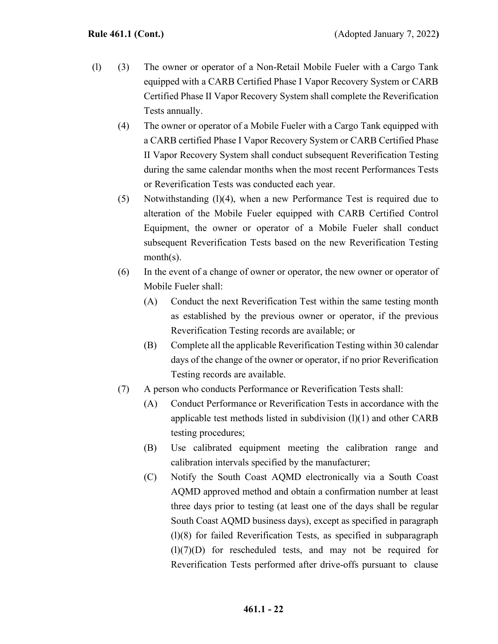- (l) (3) The owner or operator of a Non-Retail Mobile Fueler with a Cargo Tank equipped with a CARB Certified Phase I Vapor Recovery System or CARB Certified Phase II Vapor Recovery System shall complete the Reverification Tests annually.
	- (4) The owner or operator of a Mobile Fueler with a Cargo Tank equipped with a CARB certified Phase I Vapor Recovery System or CARB Certified Phase II Vapor Recovery System shall conduct subsequent Reverification Testing during the same calendar months when the most recent Performances Tests or Reverification Tests was conducted each year.
	- (5) Notwithstanding (l)(4), when a new Performance Test is required due to alteration of the Mobile Fueler equipped with CARB Certified Control Equipment, the owner or operator of a Mobile Fueler shall conduct subsequent Reverification Tests based on the new Reverification Testing month(s).
	- (6) In the event of a change of owner or operator, the new owner or operator of Mobile Fueler shall:
		- (A) Conduct the next Reverification Test within the same testing month as established by the previous owner or operator, if the previous Reverification Testing records are available; or
		- (B) Complete all the applicable Reverification Testing within 30 calendar days of the change of the owner or operator, if no prior Reverification Testing records are available.
	- (7) A person who conducts Performance or Reverification Tests shall:
		- (A) Conduct Performance or Reverification Tests in accordance with the applicable test methods listed in subdivision  $(l)(1)$  and other CARB testing procedures;
		- (B) Use calibrated equipment meeting the calibration range and calibration intervals specified by the manufacturer;
		- (C) Notify the South Coast AQMD electronically via a South Coast AQMD approved method and obtain a confirmation number at least three days prior to testing (at least one of the days shall be regular South Coast AQMD business days), except as specified in paragraph (l)(8) for failed Reverification Tests, as specified in subparagraph  $(l)(7)(D)$  for rescheduled tests, and may not be required for Reverification Tests performed after drive-offs pursuant to clause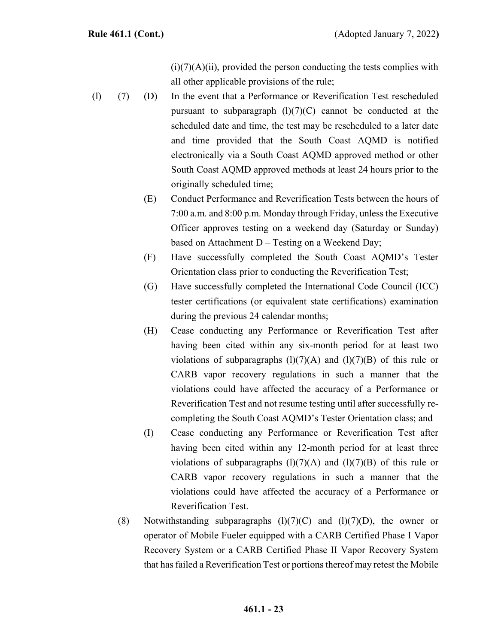$(i)(7)(A)(ii)$ , provided the person conducting the tests complies with all other applicable provisions of the rule;

- (l) (7) (D) In the event that a Performance or Reverification Test rescheduled pursuant to subparagraph  $(l)(7)(C)$  cannot be conducted at the scheduled date and time, the test may be rescheduled to a later date and time provided that the South Coast AQMD is notified electronically via a South Coast AQMD approved method or other South Coast AQMD approved methods at least 24 hours prior to the originally scheduled time;
	- (E) Conduct Performance and Reverification Tests between the hours of 7:00 a.m. and 8:00 p.m. Monday through Friday, unless the Executive Officer approves testing on a weekend day (Saturday or Sunday) based on Attachment D – Testing on a Weekend Day;
	- (F) Have successfully completed the South Coast AQMD's Tester Orientation class prior to conducting the Reverification Test;
	- (G) Have successfully completed the International Code Council (ICC) tester certifications (or equivalent state certifications) examination during the previous 24 calendar months;
	- (H) Cease conducting any Performance or Reverification Test after having been cited within any six-month period for at least two violations of subparagraphs  $(1)(7)(A)$  and  $(1)(7)(B)$  of this rule or CARB vapor recovery regulations in such a manner that the violations could have affected the accuracy of a Performance or Reverification Test and not resume testing until after successfully recompleting the South Coast AQMD's Tester Orientation class; and
	- (I) Cease conducting any Performance or Reverification Test after having been cited within any 12-month period for at least three violations of subparagraphs  $(l)(7)(A)$  and  $(l)(7)(B)$  of this rule or CARB vapor recovery regulations in such a manner that the violations could have affected the accuracy of a Performance or Reverification Test.
	- (8) Notwithstanding subparagraphs  $(l)(7)(C)$  and  $(l)(7)(D)$ , the owner or operator of Mobile Fueler equipped with a CARB Certified Phase I Vapor Recovery System or a CARB Certified Phase II Vapor Recovery System that has failed a Reverification Test or portions thereof may retest the Mobile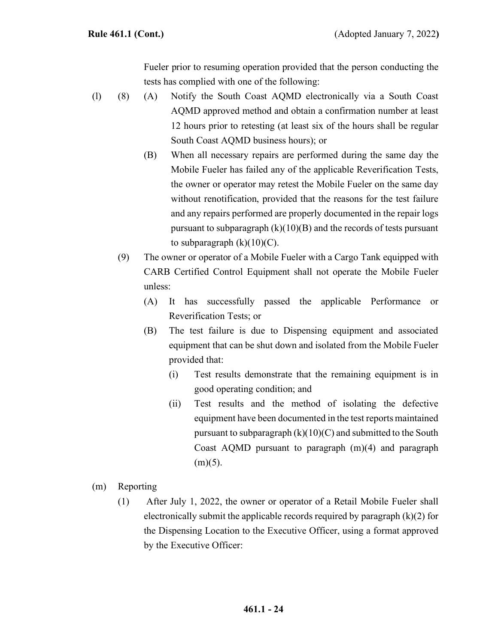Fueler prior to resuming operation provided that the person conducting the tests has complied with one of the following:

- (l) (8) (A) Notify the South Coast AQMD electronically via a South Coast AQMD approved method and obtain a confirmation number at least 12 hours prior to retesting (at least six of the hours shall be regular South Coast AQMD business hours); or
	- (B) When all necessary repairs are performed during the same day the Mobile Fueler has failed any of the applicable Reverification Tests, the owner or operator may retest the Mobile Fueler on the same day without renotification, provided that the reasons for the test failure and any repairs performed are properly documented in the repair logs pursuant to subparagraph  $(k)(10)(B)$  and the records of tests pursuant to subparagraph  $(k)(10)(C)$ .
	- (9) The owner or operator of a Mobile Fueler with a Cargo Tank equipped with CARB Certified Control Equipment shall not operate the Mobile Fueler unless:
		- (A) It has successfully passed the applicable Performance or Reverification Tests; or
		- (B) The test failure is due to Dispensing equipment and associated equipment that can be shut down and isolated from the Mobile Fueler provided that:
			- (i) Test results demonstrate that the remaining equipment is in good operating condition; and
			- (ii) Test results and the method of isolating the defective equipment have been documented in the test reports maintained pursuant to subparagraph  $(k)(10)(C)$  and submitted to the South Coast AQMD pursuant to paragraph (m)(4) and paragraph  $(m)(5)$ .
- (m) Reporting
	- (1) After July 1, 2022, the owner or operator of a Retail Mobile Fueler shall electronically submit the applicable records required by paragraph (k)(2) for the Dispensing Location to the Executive Officer, using a format approved by the Executive Officer: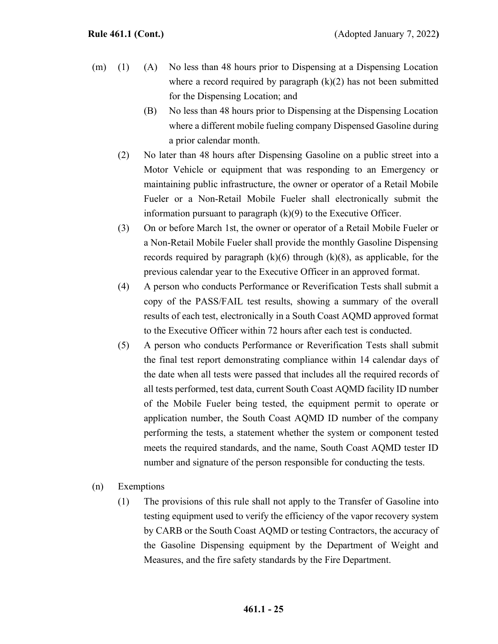- (m) (1) (A) No less than 48 hours prior to Dispensing at a Dispensing Location where a record required by paragraph  $(k)(2)$  has not been submitted for the Dispensing Location; and
	- (B) No less than 48 hours prior to Dispensing at the Dispensing Location where a different mobile fueling company Dispensed Gasoline during a prior calendar month.
	- (2) No later than 48 hours after Dispensing Gasoline on a public street into a Motor Vehicle or equipment that was responding to an Emergency or maintaining public infrastructure, the owner or operator of a Retail Mobile Fueler or a Non-Retail Mobile Fueler shall electronically submit the information pursuant to paragraph  $(k)(9)$  to the Executive Officer.
	- (3) On or before March 1st, the owner or operator of a Retail Mobile Fueler or a Non-Retail Mobile Fueler shall provide the monthly Gasoline Dispensing records required by paragraph  $(k)(6)$  through  $(k)(8)$ , as applicable, for the previous calendar year to the Executive Officer in an approved format.
	- (4) A person who conducts Performance or Reverification Tests shall submit a copy of the PASS/FAIL test results, showing a summary of the overall results of each test, electronically in a South Coast AQMD approved format to the Executive Officer within 72 hours after each test is conducted.
	- (5) A person who conducts Performance or Reverification Tests shall submit the final test report demonstrating compliance within 14 calendar days of the date when all tests were passed that includes all the required records of all tests performed, test data, current South Coast AQMD facility ID number of the Mobile Fueler being tested, the equipment permit to operate or application number, the South Coast AQMD ID number of the company performing the tests, a statement whether the system or component tested meets the required standards, and the name, South Coast AQMD tester ID number and signature of the person responsible for conducting the tests.
- (n) Exemptions
	- (1) The provisions of this rule shall not apply to the Transfer of Gasoline into testing equipment used to verify the efficiency of the vapor recovery system by CARB or the South Coast AQMD or testing Contractors, the accuracy of the Gasoline Dispensing equipment by the Department of Weight and Measures, and the fire safety standards by the Fire Department.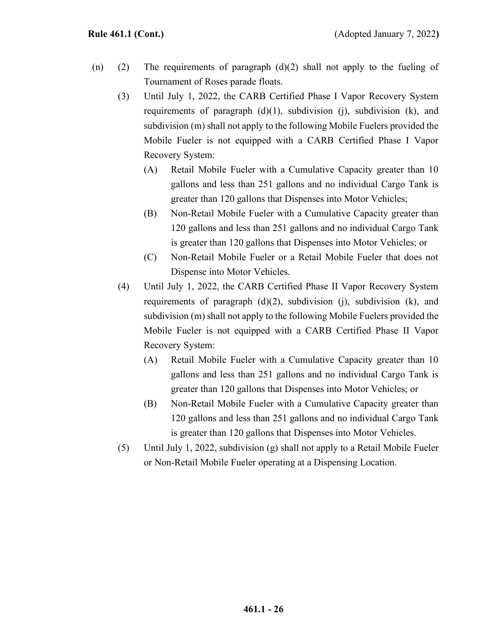- (n) (2) The requirements of paragraph  $(d)(2)$  shall not apply to the fueling of Tournament of Roses parade floats.
	- (3) Until July 1, 2022, the CARB Certified Phase I Vapor Recovery System requirements of paragraph  $(d)(1)$ , subdivision  $(i)$ , subdivision  $(k)$ , and subdivision (m) shall not apply to the following Mobile Fuelers provided the Mobile Fueler is not equipped with a CARB Certified Phase I Vapor Recovery System:
		- (A) Retail Mobile Fueler with a Cumulative Capacity greater than 10 gallons and less than 251 gallons and no individual Cargo Tank is greater than 120 gallons that Dispenses into Motor Vehicles;
		- (B) Non-Retail Mobile Fueler with a Cumulative Capacity greater than 120 gallons and less than 251 gallons and no individual Cargo Tank is greater than 120 gallons that Dispenses into Motor Vehicles; or
		- (C) Non-Retail Mobile Fueler or a Retail Mobile Fueler that does not Dispense into Motor Vehicles.
	- (4) Until July 1, 2022, the CARB Certified Phase II Vapor Recovery System requirements of paragraph  $(d)(2)$ , subdivision  $(i)$ , subdivision  $(k)$ , and subdivision (m) shall not apply to the following Mobile Fuelers provided the Mobile Fueler is not equipped with a CARB Certified Phase II Vapor Recovery System:
		- (A) Retail Mobile Fueler with a Cumulative Capacity greater than 10 gallons and less than 251 gallons and no individual Cargo Tank is greater than 120 gallons that Dispenses into Motor Vehicles; or
		- (B) Non-Retail Mobile Fueler with a Cumulative Capacity greater than 120 gallons and less than 251 gallons and no individual Cargo Tank is greater than 120 gallons that Dispenses into Motor Vehicles.
	- (5) Until July 1, 2022, subdivision (g) shall not apply to a Retail Mobile Fueler or Non-Retail Mobile Fueler operating at a Dispensing Location.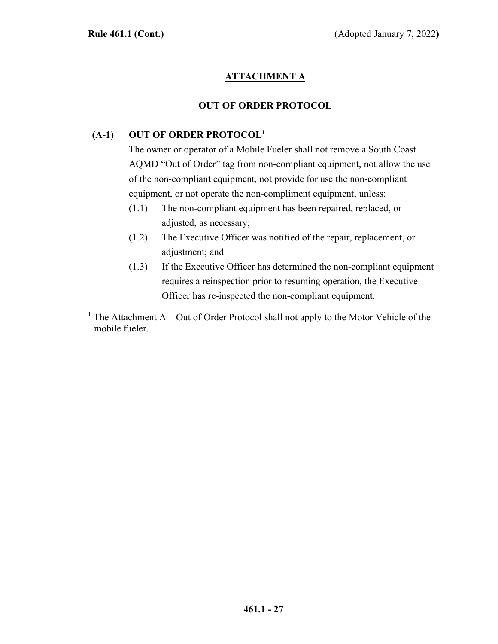# **ATTACHMENT A**

# **OUT OF ORDER PROTOCOL**

# **(A-1) OUT OF ORDER PROTOCOL1**

The owner or operator of a Mobile Fueler shall not remove a South Coast AQMD "Out of Order" tag from non-compliant equipment, not allow the use of the non-compliant equipment, not provide for use the non-compliant equipment, or not operate the non-compliment equipment, unless:

- (1.1) The non-compliant equipment has been repaired, replaced, or adjusted, as necessary;
- (1.2) The Executive Officer was notified of the repair, replacement, or adjustment; and
- (1.3) If the Executive Officer has determined the non-compliant equipment requires a reinspection prior to resuming operation, the Executive Officer has re-inspected the non-compliant equipment.

<sup>1</sup> The Attachment A – Out of Order Protocol shall not apply to the Motor Vehicle of the mobile fueler.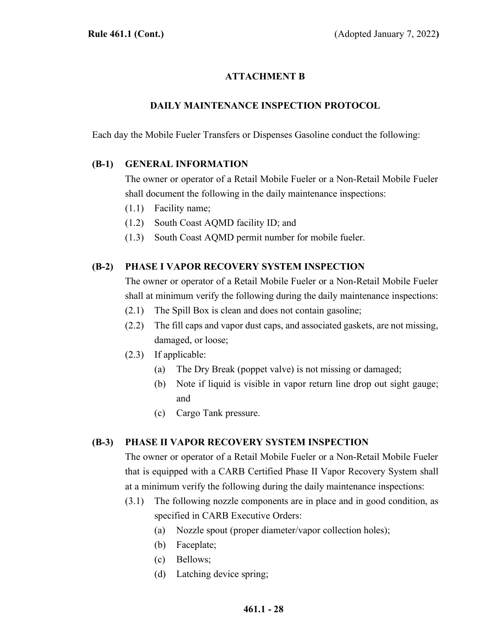# **ATTACHMENT B**

# **DAILY MAINTENANCE INSPECTION PROTOCOL**

Each day the Mobile Fueler Transfers or Dispenses Gasoline conduct the following:

#### **(B-1) GENERAL INFORMATION**

The owner or operator of a Retail Mobile Fueler or a Non-Retail Mobile Fueler shall document the following in the daily maintenance inspections:

- (1.1) Facility name;
- (1.2) South Coast AQMD facility ID; and
- (1.3) South Coast AQMD permit number for mobile fueler.

## **(B-2) PHASE I VAPOR RECOVERY SYSTEM INSPECTION**

The owner or operator of a Retail Mobile Fueler or a Non-Retail Mobile Fueler shall at minimum verify the following during the daily maintenance inspections:

- (2.1) The Spill Box is clean and does not contain gasoline;
- (2.2) The fill caps and vapor dust caps, and associated gaskets, are not missing, damaged, or loose;
- (2.3) If applicable:
	- (a) The Dry Break (poppet valve) is not missing or damaged;
	- (b) Note if liquid is visible in vapor return line drop out sight gauge; and
	- (c) Cargo Tank pressure.

#### **(B-3) PHASE II VAPOR RECOVERY SYSTEM INSPECTION**

The owner or operator of a Retail Mobile Fueler or a Non-Retail Mobile Fueler that is equipped with a CARB Certified Phase II Vapor Recovery System shall at a minimum verify the following during the daily maintenance inspections:

- (3.1) The following nozzle components are in place and in good condition, as specified in CARB Executive Orders:
	- (a) Nozzle spout (proper diameter/vapor collection holes);
	- (b) Faceplate;
	- (c) Bellows;
	- (d) Latching device spring;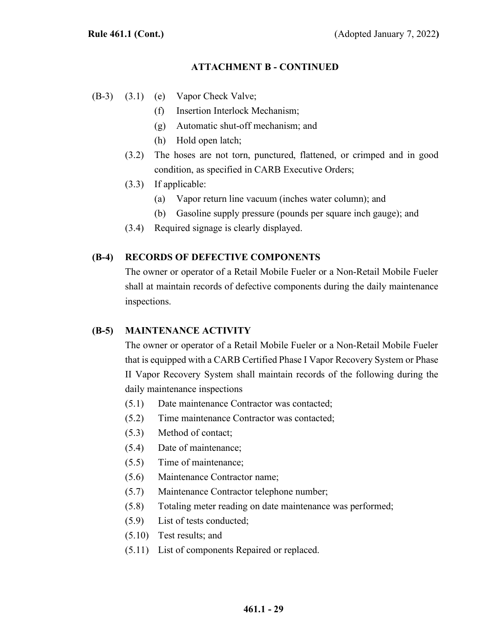#### **ATTACHMENT B - CONTINUED**

- (B-3) (3.1) (e) Vapor Check Valve;
	- (f) Insertion Interlock Mechanism;
	- (g) Automatic shut-off mechanism; and
	- (h) Hold open latch;
	- (3.2) The hoses are not torn, punctured, flattened, or crimped and in good condition, as specified in CARB Executive Orders;
	- (3.3) If applicable:
		- (a) Vapor return line vacuum (inches water column); and
		- (b) Gasoline supply pressure (pounds per square inch gauge); and
	- (3.4) Required signage is clearly displayed.

#### **(B-4) RECORDS OF DEFECTIVE COMPONENTS**

The owner or operator of a Retail Mobile Fueler or a Non-Retail Mobile Fueler shall at maintain records of defective components during the daily maintenance inspections.

#### **(B-5) MAINTENANCE ACTIVITY**

The owner or operator of a Retail Mobile Fueler or a Non-Retail Mobile Fueler that is equipped with a CARB Certified Phase I Vapor Recovery System or Phase II Vapor Recovery System shall maintain records of the following during the daily maintenance inspections

- (5.1) Date maintenance Contractor was contacted;
- (5.2) Time maintenance Contractor was contacted;
- (5.3) Method of contact;
- (5.4) Date of maintenance;
- (5.5) Time of maintenance;
- (5.6) Maintenance Contractor name;
- (5.7) Maintenance Contractor telephone number;
- (5.8) Totaling meter reading on date maintenance was performed;
- (5.9) List of tests conducted;
- (5.10) Test results; and
- (5.11) List of components Repaired or replaced.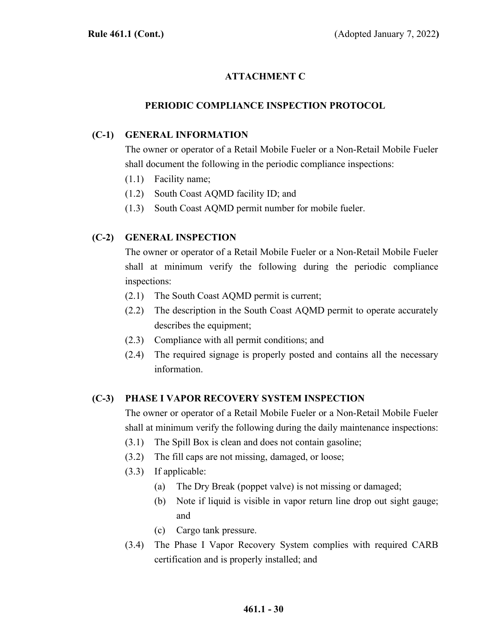# **ATTACHMENT C**

# **PERIODIC COMPLIANCE INSPECTION PROTOCOL**

## **(C-1) GENERAL INFORMATION**

The owner or operator of a Retail Mobile Fueler or a Non-Retail Mobile Fueler shall document the following in the periodic compliance inspections:

- (1.1) Facility name;
- (1.2) South Coast AQMD facility ID; and
- (1.3) South Coast AQMD permit number for mobile fueler.

# **(C-2) GENERAL INSPECTION**

The owner or operator of a Retail Mobile Fueler or a Non-Retail Mobile Fueler shall at minimum verify the following during the periodic compliance inspections:

- (2.1) The South Coast AQMD permit is current;
- (2.2) The description in the South Coast AQMD permit to operate accurately describes the equipment;
- (2.3) Compliance with all permit conditions; and
- (2.4) The required signage is properly posted and contains all the necessary information.

# **(C-3) PHASE I VAPOR RECOVERY SYSTEM INSPECTION**

The owner or operator of a Retail Mobile Fueler or a Non-Retail Mobile Fueler shall at minimum verify the following during the daily maintenance inspections:

- (3.1) The Spill Box is clean and does not contain gasoline;
- (3.2) The fill caps are not missing, damaged, or loose;
- (3.3) If applicable:
	- (a) The Dry Break (poppet valve) is not missing or damaged;
	- (b) Note if liquid is visible in vapor return line drop out sight gauge; and
	- (c) Cargo tank pressure.
- (3.4) The Phase I Vapor Recovery System complies with required CARB certification and is properly installed; and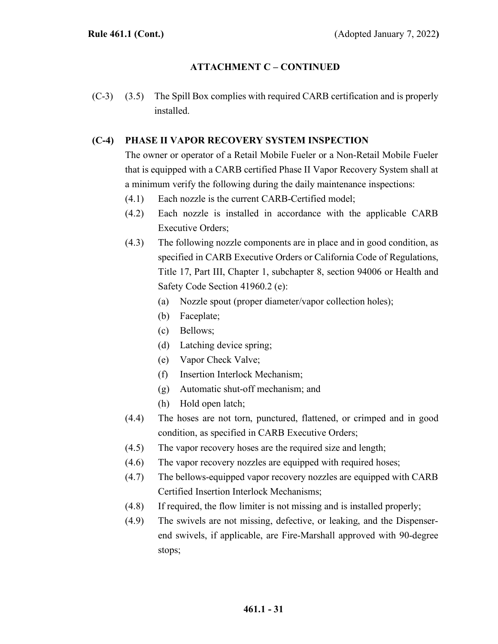# **ATTACHMENT C – CONTINUED**

(C-3) (3.5) The Spill Box complies with required CARB certification and is properly installed.

#### **(C-4) PHASE II VAPOR RECOVERY SYSTEM INSPECTION**

The owner or operator of a Retail Mobile Fueler or a Non-Retail Mobile Fueler that is equipped with a CARB certified Phase II Vapor Recovery System shall at a minimum verify the following during the daily maintenance inspections:

- (4.1) Each nozzle is the current CARB-Certified model;
- (4.2) Each nozzle is installed in accordance with the applicable CARB Executive Orders;
- (4.3) The following nozzle components are in place and in good condition, as specified in CARB Executive Orders or California Code of Regulations, Title 17, Part III, Chapter 1, subchapter 8, section 94006 or Health and Safety Code Section 41960.2 (e):
	- (a) Nozzle spout (proper diameter/vapor collection holes);
	- (b) Faceplate;
	- (c) Bellows;
	- (d) Latching device spring;
	- (e) Vapor Check Valve;
	- (f) Insertion Interlock Mechanism;
	- (g) Automatic shut-off mechanism; and
	- (h) Hold open latch;
- (4.4) The hoses are not torn, punctured, flattened, or crimped and in good condition, as specified in CARB Executive Orders;
- (4.5) The vapor recovery hoses are the required size and length;
- (4.6) The vapor recovery nozzles are equipped with required hoses;
- (4.7) The bellows-equipped vapor recovery nozzles are equipped with CARB Certified Insertion Interlock Mechanisms;
- (4.8) If required, the flow limiter is not missing and is installed properly;
- (4.9) The swivels are not missing, defective, or leaking, and the Dispenserend swivels, if applicable, are Fire-Marshall approved with 90-degree stops;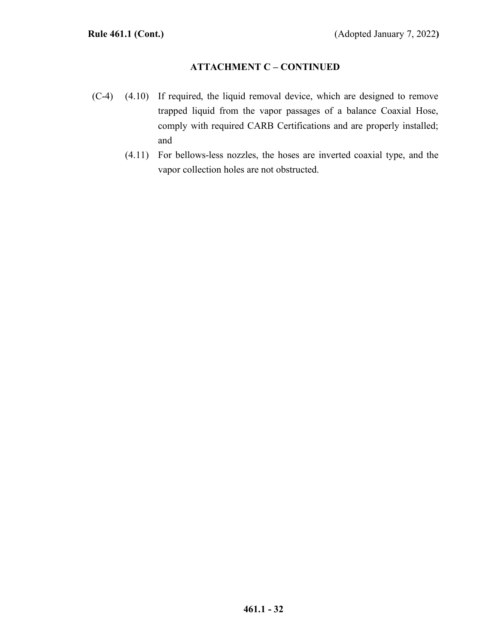# **ATTACHMENT C – CONTINUED**

- (C-4) (4.10) If required, the liquid removal device, which are designed to remove trapped liquid from the vapor passages of a balance Coaxial Hose, comply with required CARB Certifications and are properly installed; and
	- (4.11) For bellows-less nozzles, the hoses are inverted coaxial type, and the vapor collection holes are not obstructed.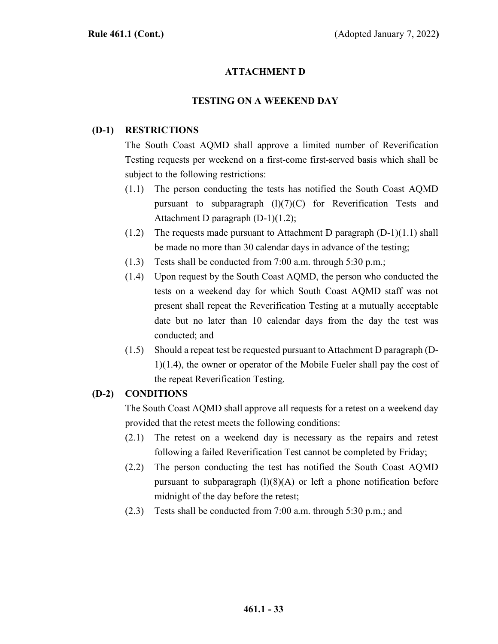# **ATTACHMENT D**

#### **TESTING ON A WEEKEND DAY**

## **(D-1) RESTRICTIONS**

The South Coast AQMD shall approve a limited number of Reverification Testing requests per weekend on a first-come first-served basis which shall be subject to the following restrictions:

- (1.1) The person conducting the tests has notified the South Coast AQMD pursuant to subparagraph  $(1)(7)(C)$  for Reverification Tests and Attachment D paragraph (D-1)(1.2);
- (1.2) The requests made pursuant to Attachment D paragraph  $(D-1)(1.1)$  shall be made no more than 30 calendar days in advance of the testing;
- (1.3) Tests shall be conducted from 7:00 a.m. through 5:30 p.m.;
- (1.4) Upon request by the South Coast AQMD, the person who conducted the tests on a weekend day for which South Coast AQMD staff was not present shall repeat the Reverification Testing at a mutually acceptable date but no later than 10 calendar days from the day the test was conducted; and
- (1.5) Should a repeat test be requested pursuant to Attachment D paragraph (D-1)(1.4), the owner or operator of the Mobile Fueler shall pay the cost of the repeat Reverification Testing.

#### **(D-2) CONDITIONS**

The South Coast AQMD shall approve all requests for a retest on a weekend day provided that the retest meets the following conditions:

- (2.1) The retest on a weekend day is necessary as the repairs and retest following a failed Reverification Test cannot be completed by Friday;
- (2.2) The person conducting the test has notified the South Coast AQMD pursuant to subparagraph  $(1)(8)(A)$  or left a phone notification before midnight of the day before the retest;
- (2.3) Tests shall be conducted from 7:00 a.m. through 5:30 p.m.; and